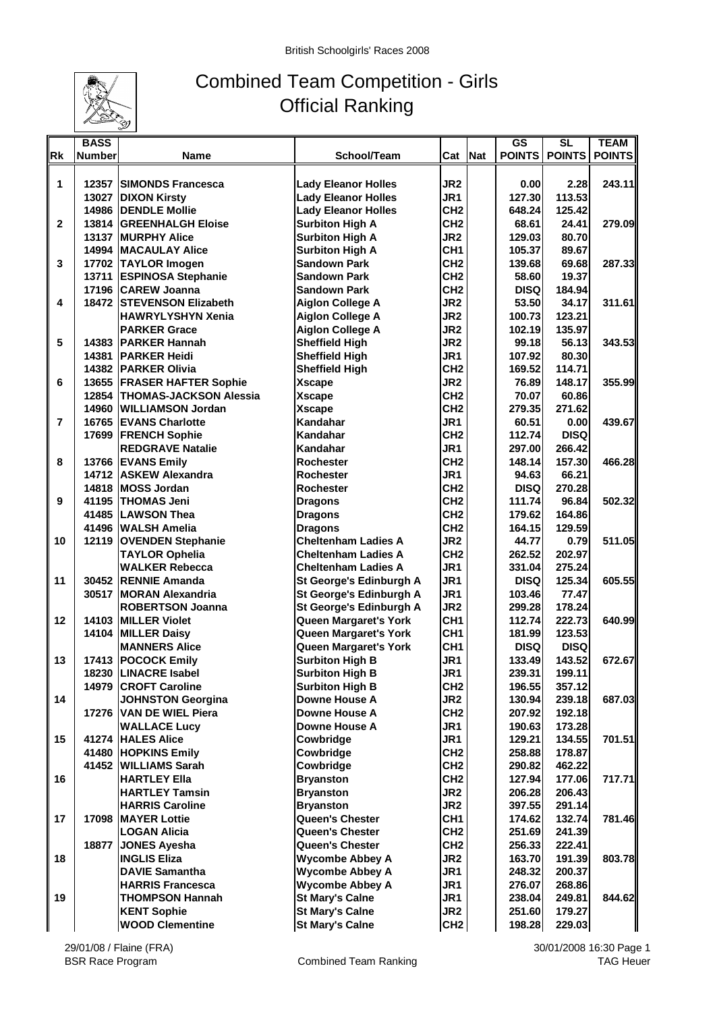

## Combined Team Competition - Girls Official Ranking

|                | <b>BASS</b>   |                                |                              |                 | <b>GS</b>     | $\overline{\text{SL}}$ | <b>TEAM</b>   |
|----------------|---------------|--------------------------------|------------------------------|-----------------|---------------|------------------------|---------------|
| <b>Rk</b>      | <b>Number</b> | Name                           | School/Team                  | Cat Nat         | <b>POINTS</b> | <b>POINTS</b>          | <b>POINTS</b> |
|                |               |                                |                              |                 |               |                        |               |
| 1              | 12357         | <b>SIMONDS Francesca</b>       | <b>Lady Eleanor Holles</b>   | JR <sub>2</sub> | 0.00          | 2.28                   | 243.11        |
|                |               | 13027 DIXON Kirsty             | <b>Lady Eleanor Holles</b>   | JR1             | 127.30        | 113.53                 |               |
|                |               | <b>14986 IDENDLE Mollie</b>    | <b>Lady Eleanor Holles</b>   | CH <sub>2</sub> | 648.24        | 125.42                 |               |
| $\mathbf{2}$   |               | 13814 GREENHALGH Eloise        | <b>Surbiton High A</b>       | CH <sub>2</sub> | 68.61         | 24.41                  | 279.09        |
|                |               | <b>13137 IMURPHY Alice</b>     |                              | JR <sub>2</sub> | 129.03        | 80.70                  |               |
|                |               |                                | <b>Surbiton High A</b>       | CH <sub>1</sub> |               |                        |               |
|                |               | 14994   MACAULAY Alice         | <b>Surbiton High A</b>       |                 | 105.37        | 89.67                  |               |
| 3              |               | 17702 TAYLOR Imogen            | <b>Sandown Park</b>          | CH <sub>2</sub> | 139.68        | 69.68                  | 287.33        |
|                |               | 13711 ESPINOSA Stephanie       | <b>Sandown Park</b>          | CH <sub>2</sub> | 58.60         | 19.37                  |               |
|                |               | 17196 CAREW Joanna             | Sandown Park                 | CH <sub>2</sub> | <b>DISQ</b>   | 184.94                 |               |
| 4              |               | 18472 STEVENSON Elizabeth      | <b>Aiglon College A</b>      | JR <sub>2</sub> | 53.50         | 34.17                  | 311.61        |
|                |               | <b>HAWRYLYSHYN Xenia</b>       | <b>Aiglon College A</b>      | JR <sub>2</sub> | 100.73        | 123.21                 |               |
|                |               | <b>PARKER Grace</b>            | <b>Aiglon College A</b>      | JR <sub>2</sub> | 102.19        | 135.97                 |               |
| 5              |               | 14383 PARKER Hannah            | <b>Sheffield High</b>        | JR <sub>2</sub> | 99.18         | 56.13                  | 343.53        |
|                |               | 14381 PARKER Heidi             | <b>Sheffield High</b>        | JR1             | 107.92        | 80.30                  |               |
|                |               | <b>14382 PARKER Olivia</b>     | <b>Sheffield High</b>        | CH <sub>2</sub> | 169.52        | 114.71                 |               |
| 6              |               | 13655 FRASER HAFTER Sophie     | <b>Xscape</b>                | JR <sub>2</sub> | 76.89         | 148.17                 | 355.99        |
|                |               | 12854   THOMAS-JACKSON Alessia | <b>Xscape</b>                | CH <sub>2</sub> | 70.07         | 60.86                  |               |
|                |               | 14960 WILLIAMSON Jordan        | <b>Xscape</b>                | CH <sub>2</sub> | 279.35        | 271.62                 |               |
| $\overline{7}$ |               | 16765 EVANS Charlotte          | Kandahar                     | JR1             | 60.51         | 0.00                   | 439.67        |
|                |               |                                |                              |                 |               |                        |               |
|                |               | 17699 FRENCH Sophie            | Kandahar                     | CH <sub>2</sub> | 112.74        | <b>DISQ</b>            |               |
|                |               | <b>REDGRAVE Natalie</b>        | Kandahar                     | JR1             | 297.00        | 266.42                 |               |
| 8              |               | 13766 EVANS Emily              | <b>Rochester</b>             | CH <sub>2</sub> | 148.14        | 157.30                 | 466.28        |
|                |               | 14712 ASKEW Alexandra          | <b>Rochester</b>             | JR1             | 94.63         | 66.21                  |               |
|                |               | 14818 MOSS Jordan              | <b>Rochester</b>             | CH <sub>2</sub> | <b>DISQ</b>   | 270.28                 |               |
| 9              |               | 41195 THOMAS Jeni              | <b>Dragons</b>               | CH <sub>2</sub> | 111.74        | 96.84                  | 502.32        |
|                |               | 41485 LAWSON Thea              | <b>Dragons</b>               | CH <sub>2</sub> | 179.62        | 164.86                 |               |
|                |               | 41496 WALSH Amelia             | <b>Dragons</b>               | CH <sub>2</sub> | 164.15        | 129.59                 |               |
| 10             |               | 12119 OVENDEN Stephanie        | <b>Cheltenham Ladies A</b>   | JR <sub>2</sub> | 44.77         | 0.79                   | 511.05        |
|                |               | <b>TAYLOR Ophelia</b>          | <b>Cheltenham Ladies A</b>   | CH <sub>2</sub> | 262.52        | 202.97                 |               |
|                |               | <b>WALKER Rebecca</b>          | <b>Cheltenham Ladies A</b>   | JR1             | 331.04        | 275.24                 |               |
| 11             |               | 30452 RENNIE Amanda            | St George's Edinburgh A      | JR1             | <b>DISQ</b>   | 125.34                 | 605.55        |
|                |               | 30517 MORAN Alexandria         | St George's Edinburgh A      | JR1             | 103.46        | 77.47                  |               |
|                |               | <b>ROBERTSON Joanna</b>        | St George's Edinburgh A      | JR <sub>2</sub> | 299.28        | 178.24                 |               |
| 12             |               | 14103 MILLER Violet            | Queen Margaret's York        | CH <sub>1</sub> | 112.74        | 222.73                 | 640.99        |
|                |               |                                |                              | CH <sub>1</sub> |               |                        |               |
|                |               | 14104 MILLER Daisy             | Queen Margaret's York        |                 | 181.99        | 123.53                 |               |
|                |               | <b>MANNERS Alice</b>           | <b>Queen Margaret's York</b> | CH <sub>1</sub> | <b>DISQ</b>   | <b>DISQ</b>            |               |
| 13             |               | 17413 POCOCK Emily             | <b>Surbiton High B</b>       | JR1             | 133.49        | 143.52                 | 672.67        |
|                |               | 18230 ILINACRE Isabel          | <b>Surbiton High B</b>       | JR <sub>1</sub> | 239.31 l      | 199.11                 |               |
|                |               | 14979 CROFT Caroline           | <b>Surbiton High B</b>       | CH <sub>2</sub> | 196.55        | 357.12                 |               |
| 14             |               | <b>JOHNSTON Georgina</b>       | Downe House A                | JR <sub>2</sub> | 130.94        | 239.18                 | 687.03        |
|                |               | 17276 VAN DE WIEL Piera        | Downe House A                | CH <sub>2</sub> | 207.92        | 192.18                 |               |
|                |               | <b>WALLACE Lucy</b>            | Downe House A                | JR1             | 190.63        | 173.28                 |               |
| 15             |               | 41274 HALES Alice              | Cowbridge                    | JR1             | 129.21        | 134.55                 | 701.51        |
|                |               | 41480 HOPKINS Emily            | Cowbridge                    | CH <sub>2</sub> | 258.88        | 178.87                 |               |
|                |               | 41452 WILLIAMS Sarah           | Cowbridge                    | CH <sub>2</sub> | 290.82        | 462.22                 |               |
| 16             |               | <b>HARTLEY Ella</b>            | <b>Bryanston</b>             | CH <sub>2</sub> | 127.94        | 177.06                 | 717.71        |
|                |               | <b>HARTLEY Tamsin</b>          | <b>Bryanston</b>             | JR <sub>2</sub> | 206.28        | 206.43                 |               |
|                |               | <b>HARRIS Caroline</b>         | <b>Bryanston</b>             | JR <sub>2</sub> | 397.55        | 291.14                 |               |
| 17             |               | 17098 MAYER Lottie             | Queen's Chester              | CH <sub>1</sub> | 174.62        | 132.74                 | 781.46        |
|                |               | <b>LOGAN Alicia</b>            | <b>Queen's Chester</b>       | CH <sub>2</sub> | 251.69        | 241.39                 |               |
|                | 18877         |                                | <b>Queen's Chester</b>       | CH <sub>2</sub> |               |                        |               |
|                |               | <b>JONES Ayesha</b>            |                              |                 | 256.33        | 222.41                 |               |
| 18             |               | <b>INGLIS Eliza</b>            | <b>Wycombe Abbey A</b>       | JR <sub>2</sub> | 163.70        | 191.39                 | 803.78        |
|                |               | <b>DAVIE Samantha</b>          | <b>Wycombe Abbey A</b>       | JR1             | 248.32        | 200.37                 |               |
|                |               | <b>HARRIS Francesca</b>        | <b>Wycombe Abbey A</b>       | JR1             | 276.07        | 268.86                 |               |
| 19             |               | <b>THOMPSON Hannah</b>         | <b>St Mary's Calne</b>       | JR1             | 238.04        | 249.81                 | 844.62        |
|                |               | <b>KENT Sophie</b>             | <b>St Mary's Calne</b>       | JR <sub>2</sub> | 251.60        | 179.27                 |               |
|                |               | <b>WOOD Clementine</b>         | <b>St Mary's Calne</b>       | CH <sub>2</sub> | 198.28        | 229.03                 |               |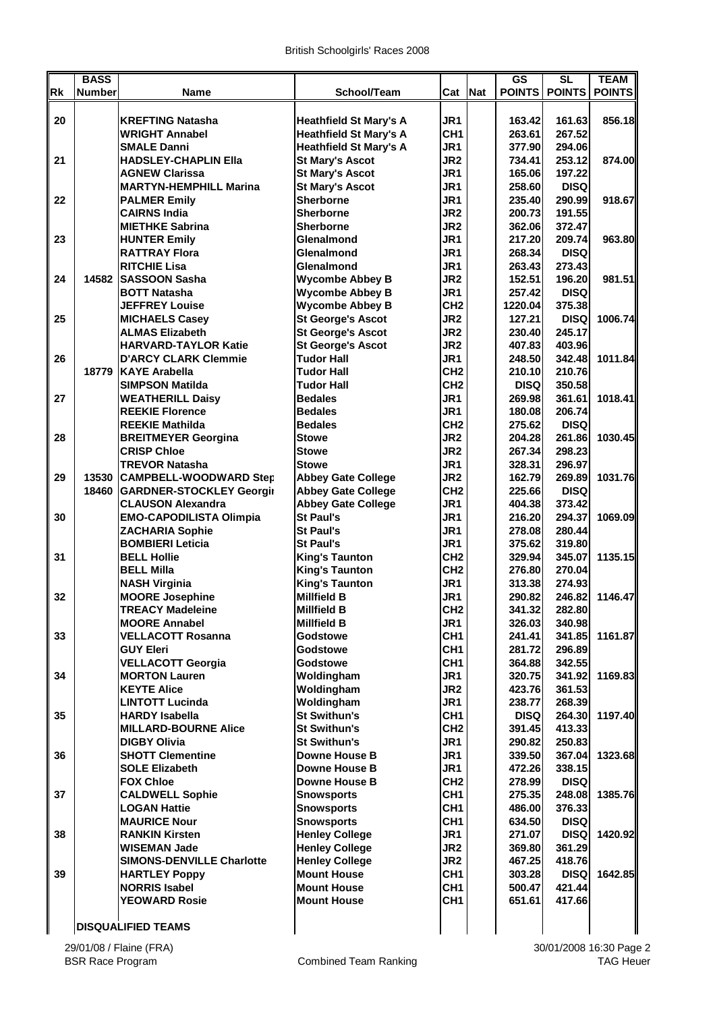|           | <b>BASS</b>   |                                                   |                                                |                                    |     | $\overline{\text{GS}}$ | SL                       | <b>TEAM</b> |
|-----------|---------------|---------------------------------------------------|------------------------------------------------|------------------------------------|-----|------------------------|--------------------------|-------------|
| <b>Rk</b> | <b>Number</b> | Name                                              | School/Team                                    | Cat                                | Nat |                        | POINTS   POINTS   POINTS |             |
| 20        |               | <b>KREFTING Natasha</b>                           | <b>Heathfield St Mary's A</b>                  | JR <sub>1</sub>                    |     | 163.42                 | 161.63                   | 856.18      |
|           |               | <b>WRIGHT Annabel</b>                             | <b>Heathfield St Mary's A</b>                  | CH <sub>1</sub>                    |     | 263.61                 | 267.52                   |             |
|           |               | <b>SMALE Danni</b>                                | <b>Heathfield St Mary's A</b>                  | JR1                                |     | 377.90                 | 294.06                   |             |
| 21        |               | <b>HADSLEY-CHAPLIN Ella</b>                       | <b>St Mary's Ascot</b>                         | JR <sub>2</sub>                    |     | 734.41                 | 253.12                   | 874.00      |
|           |               | <b>AGNEW Clarissa</b>                             | <b>St Mary's Ascot</b>                         | JR <sub>1</sub>                    |     | 165.06                 | 197.22                   |             |
|           |               | <b>MARTYN-HEMPHILL Marina</b>                     | <b>St Mary's Ascot</b>                         | JR <sub>1</sub>                    |     | 258.60                 | <b>DISQ</b>              |             |
| 22        |               | <b>PALMER Emily</b>                               | <b>Sherborne</b>                               | JR1                                |     | 235.40                 | 290.99                   | 918.67      |
|           |               | <b>CAIRNS India</b>                               | <b>Sherborne</b>                               | JR <sub>2</sub>                    |     | 200.73                 | 191.55                   |             |
|           |               | <b>MIETHKE Sabrina</b>                            | <b>Sherborne</b>                               | JR <sub>2</sub>                    |     | 362.06                 | 372.47                   |             |
| 23        |               | <b>HUNTER Emily</b>                               | Glenalmond                                     | JR1                                |     | 217.20                 | 209.74                   | 963.80      |
|           |               | <b>RATTRAY Flora</b>                              | Glenalmond                                     | JR <sub>1</sub>                    |     | 268.34                 | <b>DISQ</b>              |             |
|           |               | <b>RITCHIE Lisa</b>                               | Glenalmond                                     | JR <sub>1</sub>                    |     | 263.43                 | 273.43                   |             |
| 24        | 14582         | <b>SASSOON Sasha</b>                              | <b>Wycombe Abbey B</b>                         | JR <sub>2</sub>                    |     | 152.51                 | 196.20                   | 981.51      |
|           |               | <b>BOTT Natasha</b>                               | <b>Wycombe Abbey B</b>                         | JR1                                |     | 257.42                 | <b>DISQ</b>              |             |
|           |               | <b>JEFFREY Louise</b>                             | <b>Wycombe Abbey B</b>                         | CH <sub>2</sub>                    |     | 1220.04                | 375.38                   |             |
| 25        |               | <b>MICHAELS Casey</b>                             | <b>St George's Ascot</b>                       | JR <sub>2</sub>                    |     | 127.21                 | <b>DISQ</b>              | 1006.74     |
|           |               | <b>ALMAS Elizabeth</b>                            | <b>St George's Ascot</b>                       | JR <sub>2</sub>                    |     | 230.40                 | 245.17                   |             |
|           |               | <b>HARVARD-TAYLOR Katie</b>                       | <b>St George's Ascot</b><br><b>Tudor Hall</b>  | JR <sub>2</sub>                    |     | 407.83                 | 403.96                   |             |
| 26        |               | <b>D'ARCY CLARK Clemmie</b>                       |                                                | JR1                                |     | 248.50                 | 342.48                   | 1011.84     |
|           | 18779         | <b>KAYE Arabella</b><br><b>SIMPSON Matilda</b>    | <b>Tudor Hall</b><br><b>Tudor Hall</b>         | CH <sub>2</sub><br>CH <sub>2</sub> |     | 210.10<br><b>DISQ</b>  | 210.76<br>350.58         |             |
| 27        |               |                                                   | <b>Bedales</b>                                 | JR1                                |     |                        | 361.61                   | 1018.41     |
|           |               | <b>WEATHERILL Daisy</b><br><b>REEKIE Florence</b> | <b>Bedales</b>                                 | JR <sub>1</sub>                    |     | 269.98<br>180.08       | 206.74                   |             |
|           |               | <b>REEKIE Mathilda</b>                            | <b>Bedales</b>                                 | CH <sub>2</sub>                    |     | 275.62                 | <b>DISQ</b>              |             |
| 28        |               | <b>BREITMEYER Georgina</b>                        | <b>Stowe</b>                                   | JR <sub>2</sub>                    |     | 204.28                 | 261.86                   | 1030.45     |
|           |               | <b>CRISP Chloe</b>                                | <b>Stowe</b>                                   | JR <sub>2</sub>                    |     | 267.34                 | 298.23                   |             |
|           |               | <b>TREVOR Natasha</b>                             | <b>Stowe</b>                                   | JR1                                |     | 328.31                 | 296.97                   |             |
| 29        | 13530         | <b>CAMPBELL-WOODWARD Step</b>                     | <b>Abbey Gate College</b>                      | JR <sub>2</sub>                    |     | 162.79                 | 269.89                   | 1031.76     |
|           | 18460         | <b>GARDNER-STOCKLEY Georgir</b>                   | <b>Abbey Gate College</b>                      | CH <sub>2</sub>                    |     | 225.66                 | <b>DISQ</b>              |             |
|           |               | <b>CLAUSON Alexandra</b>                          | <b>Abbey Gate College</b>                      | JR <sub>1</sub>                    |     | 404.38                 | 373.42                   |             |
| 30        |               | <b>EMO-CAPODILISTA Olimpia</b>                    | <b>St Paul's</b>                               | JR1                                |     | 216.20                 | 294.37                   | 1069.09     |
|           |               | <b>ZACHARIA Sophie</b>                            | <b>St Paul's</b>                               | JR <sub>1</sub>                    |     | 278.08                 | 280.44                   |             |
|           |               | <b>BOMBIERI Leticia</b>                           | <b>St Paul's</b>                               | JR1                                |     | 375.62                 | 319.80                   |             |
| 31        |               | <b>BELL Hollie</b>                                | <b>King's Taunton</b>                          | CH <sub>2</sub>                    |     | 329.94                 | 345.07                   | 1135.15     |
|           |               | <b>BELL Milla</b>                                 | <b>King's Taunton</b>                          | CH <sub>2</sub>                    |     | 276.80                 | 270.04                   |             |
|           |               | <b>NASH Virginia</b>                              | <b>King's Taunton</b>                          | JR1                                |     | 313.38                 | 274.93                   |             |
| 32        |               | <b>MOORE Josephine</b>                            | <b>Millfield B</b>                             | JR1                                |     | 290.82                 | 246.82                   | 1146.47     |
|           |               | <b>TREACY Madeleine</b>                           | <b>Millfield B</b>                             | CH <sub>2</sub>                    |     | 341.32                 | 282.80                   |             |
|           |               | <b>MOORE Annabel</b>                              | <b>Millfield B</b>                             | JR1                                |     | 326.03                 | 340.98                   |             |
| 33        |               | <b>VELLACOTT Rosanna</b>                          | Godstowe                                       | CH <sub>1</sub>                    |     | 241.41                 | 341.85                   | 1161.87     |
|           |               | <b>GUY Eleri</b>                                  | Godstowe                                       | CH <sub>1</sub>                    |     | 281.72                 | 296.89                   |             |
|           |               | <b>VELLACOTT Georgia</b>                          | Godstowe                                       | CH <sub>1</sub>                    |     | 364.88                 | 342.55                   |             |
| 34        |               | <b>MORTON Lauren</b>                              | Woldingham                                     | JR <sub>1</sub>                    |     | 320.75                 | 341.92                   | 1169.83     |
|           |               | <b>KEYTE Alice</b>                                | Woldingham                                     | JR <sub>2</sub>                    |     | 423.76                 | 361.53                   |             |
|           |               | <b>LINTOTT Lucinda</b>                            | Woldingham                                     | JR <sub>1</sub>                    |     | 238.77                 | 268.39                   |             |
| 35        |               | <b>HARDY Isabella</b>                             | <b>St Swithun's</b>                            | CH <sub>1</sub>                    |     | <b>DISQ</b>            | 264.30                   | 1197.40     |
|           |               | <b>MILLARD-BOURNE Alice</b>                       | <b>St Swithun's</b>                            | CH <sub>2</sub>                    |     | 391.45                 | 413.33                   |             |
|           |               | <b>DIGBY Olivia</b>                               | <b>St Swithun's</b>                            | JR <sub>1</sub>                    |     | 290.82                 | 250.83                   |             |
| 36        |               | <b>SHOTT Clementine</b>                           | <b>Downe House B</b>                           | JR1                                |     | 339.50                 | 367.04                   | 1323.68     |
|           |               | <b>SOLE Elizabeth</b>                             | <b>Downe House B</b>                           | JR <sub>1</sub>                    |     | 472.26                 | 338.15                   |             |
|           |               | <b>FOX Chloe</b>                                  | <b>Downe House B</b>                           | CH <sub>2</sub>                    |     | 278.99                 | <b>DISQ</b>              |             |
| 37        |               | <b>CALDWELL Sophie</b>                            | <b>Snowsports</b>                              | CH <sub>1</sub>                    |     | 275.35                 | 248.08                   | 1385.76     |
|           |               | <b>LOGAN Hattie</b><br><b>MAURICE Nour</b>        | <b>Snowsports</b><br><b>Snowsports</b>         | CH <sub>1</sub><br>CH <sub>1</sub> |     | 486.00<br>634.50       | 376.33<br><b>DISQ</b>    |             |
| 38        |               | <b>RANKIN Kirsten</b>                             |                                                |                                    |     |                        |                          | 1420.92     |
|           |               | <b>WISEMAN Jade</b>                               | <b>Henley College</b><br><b>Henley College</b> | JR1<br>JR <sub>2</sub>             |     | 271.07<br>369.80       | <b>DISQ</b><br>361.29    |             |
|           |               | <b>SIMONS-DENVILLE Charlotte</b>                  | <b>Henley College</b>                          | JR <sub>2</sub>                    |     | 467.25                 |                          |             |
| 39        |               |                                                   | <b>Mount House</b>                             | CH <sub>1</sub>                    |     | 303.28                 | 418.76<br><b>DISQ</b>    | 1642.85     |
|           |               | <b>HARTLEY Poppy</b><br><b>NORRIS Isabel</b>      | <b>Mount House</b>                             | CH <sub>1</sub>                    |     | 500.47                 | 421.44                   |             |
|           |               | <b>YEOWARD Rosie</b>                              | <b>Mount House</b>                             | CH <sub>1</sub>                    |     | 651.61                 | 417.66                   |             |
|           |               |                                                   |                                                |                                    |     |                        |                          |             |
|           |               | <b>DISQUALIFIED TEAMS</b>                         |                                                |                                    |     |                        |                          |             |
|           |               |                                                   |                                                |                                    |     |                        |                          |             |

29/01/08 / Flaine (FRA)